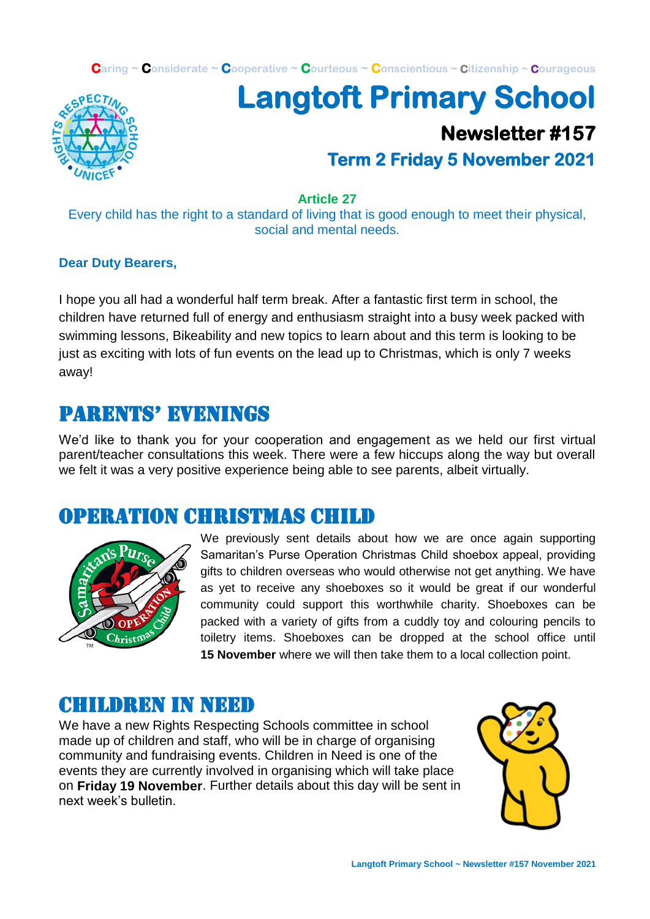**Caring ~ Considerate ~ Cooperative ~ Courteous ~ Conscientious ~ Citizenship ~ Courageous**



# **Langtoft Primary School Newsletter #157 Term 2 Friday 5 November 2021**

#### **Article 27**

Every child has the right to a standard of living that is good enough to meet their physical, social and mental needs.

#### **Dear Duty Bearers,**

I hope you all had a wonderful half term break. After a fantastic first term in school, the children have returned full of energy and enthusiasm straight into a busy week packed with swimming lessons, Bikeability and new topics to learn about and this term is looking to be just as exciting with lots of fun events on the lead up to Christmas, which is only 7 weeks away!

### Parents' evenings

We'd like to thank you for your cooperation and engagement as we held our first virtual parent/teacher consultations this week. There were a few hiccups along the way but overall we felt it was a very positive experience being able to see parents, albeit virtually.

#### Operation Christmas child



We previously sent details about how we are once again supporting Samaritan's Purse Operation Christmas Child shoebox appeal, providing gifts to children overseas who would otherwise not get anything. We have as yet to receive any shoeboxes so it would be great if our wonderful community could support this worthwhile charity. Shoeboxes can be packed with a variety of gifts from a cuddly toy and colouring pencils to toiletry items. Shoeboxes can be dropped at the school office until **15 November** where we will then take them to a local collection point.

### CHILDREN IN NEED

We have a new Rights Respecting Schools committee in school made up of children and staff, who will be in charge of organising community and fundraising events. Children in Need is one of the events they are currently involved in organising which will take place on **Friday 19 November**. Further details about this day will be sent in next week's bulletin.

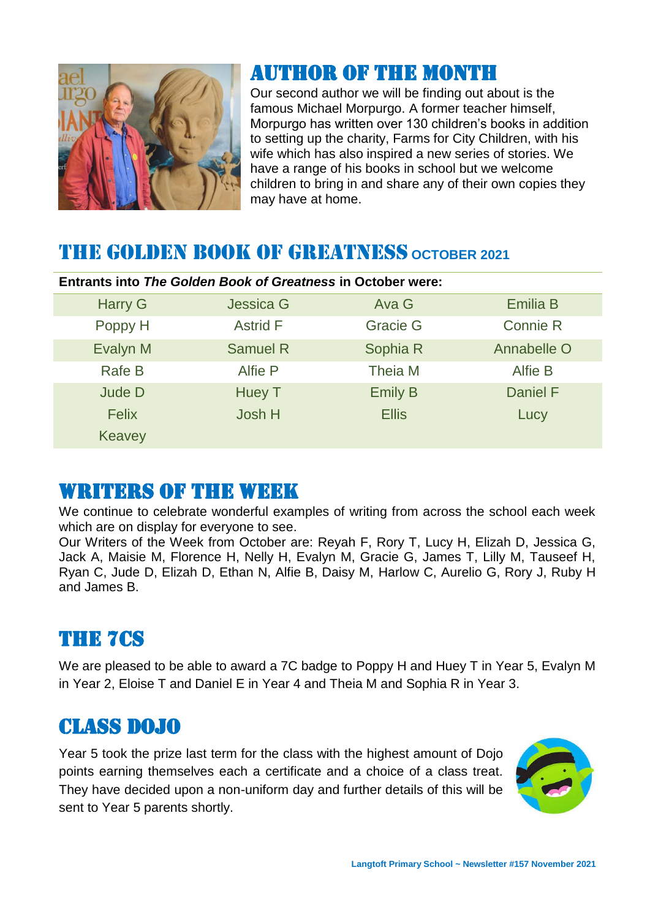

## Author of the month

Our second author we will be finding out about is the famous Michael Morpurgo. A former teacher himself, Morpurgo has written over 130 children's books in addition to setting up the charity, Farms for City Children, with his wife which has also inspired a new series of stories. We have a range of his books in school but we welcome children to bring in and share any of their own copies they may have at home.

## THE GOLDEN BOOK OF GREATNESS **OCTOBER 2021**

| <b>Entrants into The Golden Book of Greatness in October were:</b> |                  |                 |                 |  |
|--------------------------------------------------------------------|------------------|-----------------|-----------------|--|
| <b>Harry G</b>                                                     | <b>Jessica G</b> | Ava G           | <b>Emilia B</b> |  |
| Poppy H                                                            | <b>Astrid F</b>  | <b>Gracie G</b> | <b>Connie R</b> |  |
| Evalyn M                                                           | <b>Samuel R</b>  | Sophia R        | Annabelle O     |  |
| <b>Rafe B</b>                                                      | Alfie P          | Theia M         | <b>Alfie B</b>  |  |
| Jude D                                                             | <b>Huey T</b>    | <b>Emily B</b>  | <b>Daniel F</b> |  |
| <b>Felix</b>                                                       | Josh H           | <b>Ellis</b>    | Lucy            |  |
| <b>Keavey</b>                                                      |                  |                 |                 |  |

### WRITERS OF THE WEEK

We continue to celebrate wonderful examples of writing from across the school each week which are on display for everyone to see.

Our Writers of the Week from October are: Reyah F, Rory T, Lucy H, Elizah D, Jessica G, Jack A, Maisie M, Florence H, Nelly H, Evalyn M, Gracie G, James T, Lilly M, Tauseef H, Ryan C, Jude D, Elizah D, Ethan N, Alfie B, Daisy M, Harlow C, Aurelio G, Rory J, Ruby H and James B.

## THE 7Cs

We are pleased to be able to award a 7C badge to Poppy H and Huey T in Year 5, Evalyn M in Year 2, Eloise T and Daniel E in Year 4 and Theia M and Sophia R in Year 3.

### CLASS DOJO

Year 5 took the prize last term for the class with the highest amount of Dojo points earning themselves each a certificate and a choice of a class treat. They have decided upon a non-uniform day and further details of this will be sent to Year 5 parents shortly.

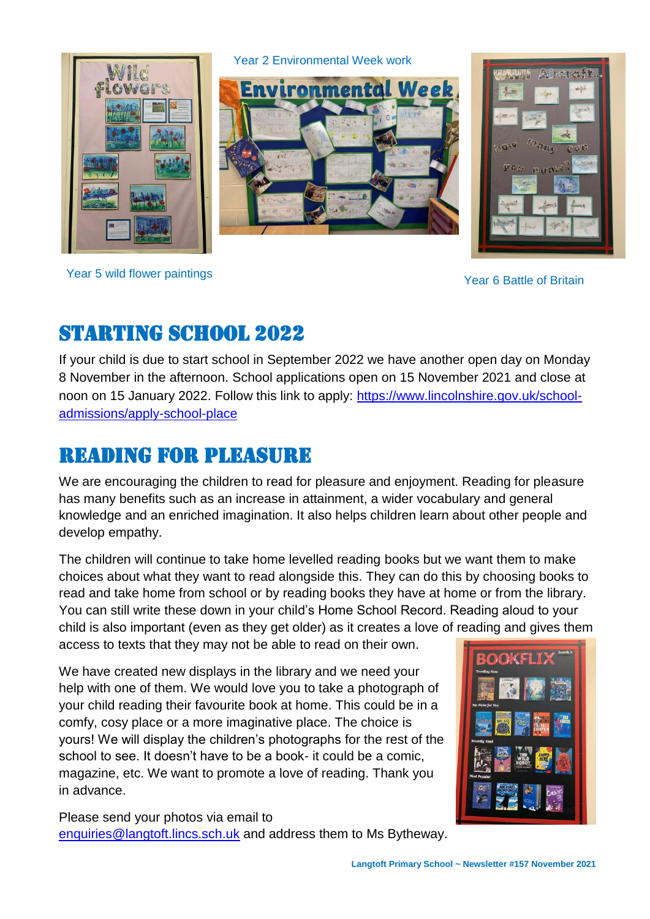

Year 2 Environmental Week work





Year 5 wild flower paintings The Contract of Britain Changes Area and Search of Britain Year 6 Battle of Britain

## Starting school 2022

If your child is due to start school in September 2022 we have another open day on Monday 8 November in the afternoon. School applications open on 15 November 2021 and close at noon on 15 January 2022. Follow this link to apply: [https://www.lincolnshire.gov.uk/school](https://www.lincolnshire.gov.uk/school-admissions/apply-school-place)[admissions/apply-school-place](https://www.lincolnshire.gov.uk/school-admissions/apply-school-place)

## Reading for pleasure

We are encouraging the children to read for pleasure and enjoyment. Reading for pleasure has many benefits such as an increase in attainment, a wider vocabulary and general knowledge and an enriched imagination. It also helps children learn about other people and develop empathy.

The children will continue to take home levelled reading books but we want them to make choices about what they want to read alongside this. They can do this by choosing books to read and take home from school or by reading books they have at home or from the library. You can still write these down in your child's Home School Record. Reading aloud to your child is also important (even as they get older) as it creates a love of reading and gives them

access to texts that they may not be able to read on their own.

We have created new displays in the library and we need your help with one of them. We would love you to take a photograph of your child reading their favourite book at home. This could be in a comfy, cosy place or a more imaginative place. The choice is yours! We will display the children's photographs for the rest of the school to see. It doesn't have to be a book- it could be a comic, magazine, etc. We want to promote a love of reading. Thank you in advance.



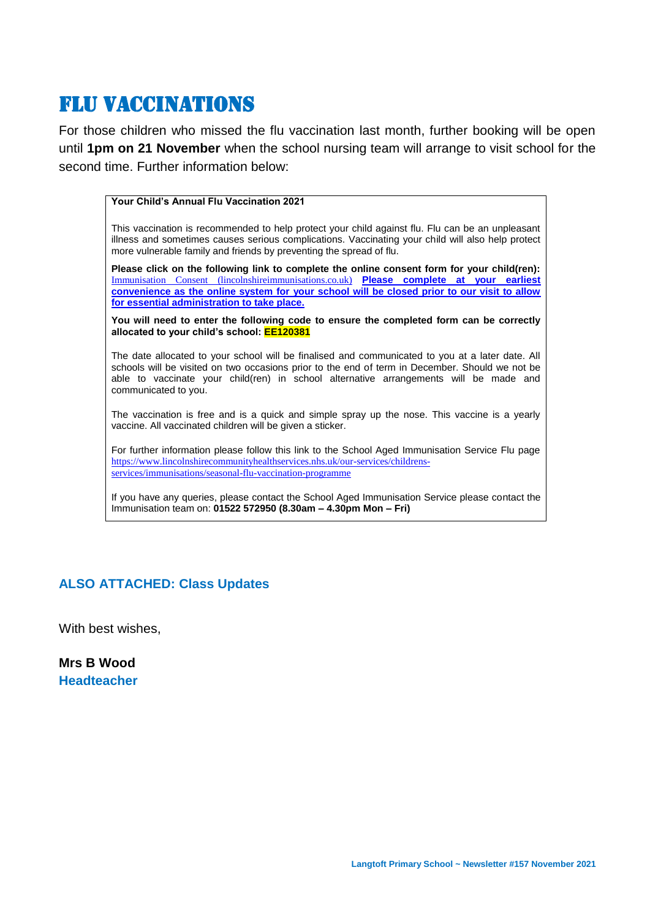## Flu vaccinations

For those children who missed the flu vaccination last month, further booking will be open until **1pm on 21 November** when the school nursing team will arrange to visit school for the second time. Further information below:

#### **Your Child's Annual Flu Vaccination 2021**

This vaccination is recommended to help protect your child against flu. Flu can be an unpleasant illness and sometimes causes serious complications. Vaccinating your child will also help protect more vulnerable family and friends by preventing the spread of flu.

**Please click on the following link to complete the online consent form for your child(ren):**  [Immunisation Consent \(lincolnshireimmunisations.co.uk\)](https://www.lincolnshireimmunisations.co.uk/Forms/Flu) **Please complete at your earliest convenience as the online system for your school will be closed prior to our visit to allow for essential administration to take place.**

**You will need to enter the following code to ensure the completed form can be correctly allocated to your child's school: EE120381**

The date allocated to your school will be finalised and communicated to you at a later date. All schools will be visited on two occasions prior to the end of term in December. Should we not be able to vaccinate your child(ren) in school alternative arrangements will be made and communicated to you.

The vaccination is free and is a quick and simple spray up the nose. This vaccine is a yearly vaccine. All vaccinated children will be given a sticker.

For further information please follow this link to the School Aged Immunisation Service Flu page [https://www.lincolnshirecommunityhealthservices.nhs.uk/our-services/childrens](https://www.lincolnshirecommunityhealthservices.nhs.uk/our-services/childrens-services/immunisations/seasonal-flu-vaccination-programme)[services/immunisations/seasonal-flu-vaccination-programme](https://www.lincolnshirecommunityhealthservices.nhs.uk/our-services/childrens-services/immunisations/seasonal-flu-vaccination-programme)

If you have any queries, please contact the School Aged Immunisation Service please contact the Immunisation team on: **01522 572950 (8.30am – 4.30pm Mon – Fri)**

#### **ALSO ATTACHED: Class Updates**

With best wishes,

**Mrs B Wood Headteacher**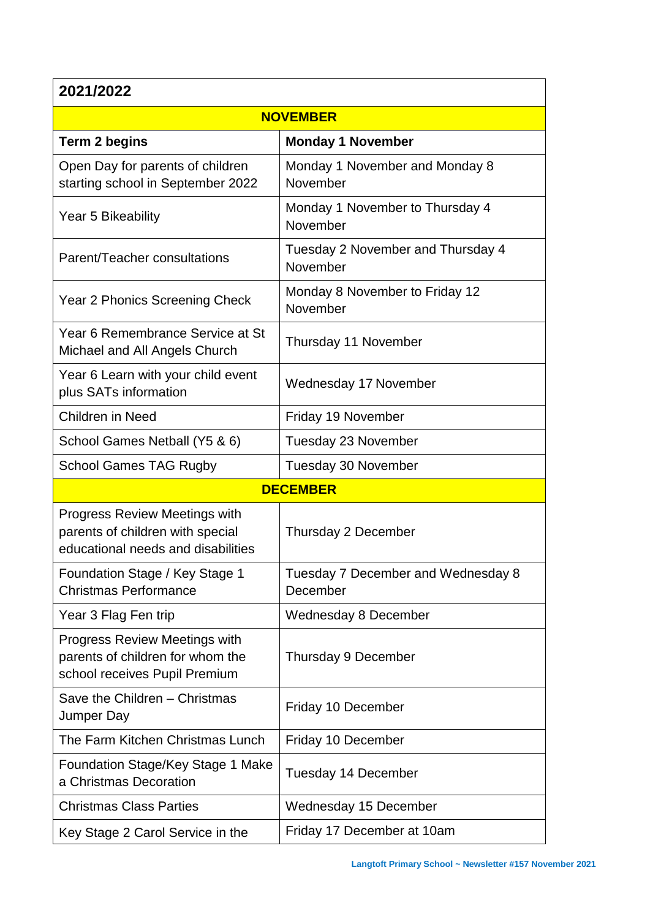#### **2021/2022**

| <b>NOVEMBER</b>                                                                                           |                                                |  |  |  |
|-----------------------------------------------------------------------------------------------------------|------------------------------------------------|--|--|--|
| <b>Term 2 begins</b>                                                                                      | <b>Monday 1 November</b>                       |  |  |  |
| Open Day for parents of children<br>starting school in September 2022                                     | Monday 1 November and Monday 8<br>November     |  |  |  |
| Year 5 Bikeability                                                                                        | Monday 1 November to Thursday 4<br>November    |  |  |  |
| Parent/Teacher consultations                                                                              | Tuesday 2 November and Thursday 4<br>November  |  |  |  |
| Year 2 Phonics Screening Check                                                                            | Monday 8 November to Friday 12<br>November     |  |  |  |
| Year 6 Remembrance Service at St<br>Michael and All Angels Church                                         | Thursday 11 November                           |  |  |  |
| Year 6 Learn with your child event<br>plus SATs information                                               | <b>Wednesday 17 November</b>                   |  |  |  |
| Children in Need                                                                                          | Friday 19 November                             |  |  |  |
| School Games Netball (Y5 & 6)                                                                             | Tuesday 23 November                            |  |  |  |
| <b>School Games TAG Rugby</b>                                                                             | Tuesday 30 November                            |  |  |  |
| <b>DECEMBER</b>                                                                                           |                                                |  |  |  |
| Progress Review Meetings with<br>parents of children with special<br>educational needs and disabilities   | Thursday 2 December                            |  |  |  |
| Foundation Stage / Key Stage 1<br><b>Christmas Performance</b>                                            | Tuesday 7 December and Wednesday 8<br>December |  |  |  |
| Year 3 Flag Fen trip                                                                                      | <b>Wednesday 8 December</b>                    |  |  |  |
| <b>Progress Review Meetings with</b><br>parents of children for whom the<br>school receives Pupil Premium | Thursday 9 December                            |  |  |  |
| Save the Children - Christmas<br>Jumper Day                                                               | Friday 10 December                             |  |  |  |
| The Farm Kitchen Christmas Lunch                                                                          | Friday 10 December                             |  |  |  |
| Foundation Stage/Key Stage 1 Make<br>a Christmas Decoration                                               | <b>Tuesday 14 December</b>                     |  |  |  |
| <b>Christmas Class Parties</b>                                                                            | <b>Wednesday 15 December</b>                   |  |  |  |
| Key Stage 2 Carol Service in the                                                                          | Friday 17 December at 10am                     |  |  |  |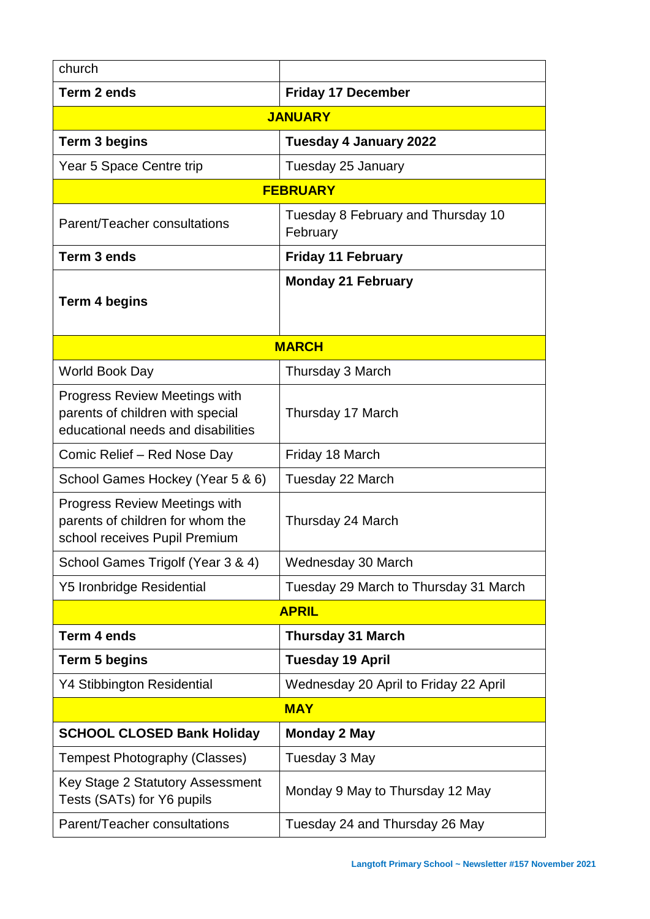| church                                                                                                         |                                                |  |  |  |
|----------------------------------------------------------------------------------------------------------------|------------------------------------------------|--|--|--|
| Term 2 ends                                                                                                    | <b>Friday 17 December</b>                      |  |  |  |
| <b>JANUARY</b>                                                                                                 |                                                |  |  |  |
| <b>Term 3 begins</b>                                                                                           | <b>Tuesday 4 January 2022</b>                  |  |  |  |
| Year 5 Space Centre trip                                                                                       | Tuesday 25 January                             |  |  |  |
| <b>FEBRUARY</b>                                                                                                |                                                |  |  |  |
| Parent/Teacher consultations                                                                                   | Tuesday 8 February and Thursday 10<br>February |  |  |  |
| Term 3 ends                                                                                                    | <b>Friday 11 February</b>                      |  |  |  |
| <b>Term 4 begins</b>                                                                                           | <b>Monday 21 February</b>                      |  |  |  |
| <b>MARCH</b>                                                                                                   |                                                |  |  |  |
| World Book Day                                                                                                 | Thursday 3 March                               |  |  |  |
| <b>Progress Review Meetings with</b><br>parents of children with special<br>educational needs and disabilities | Thursday 17 March                              |  |  |  |
| Comic Relief - Red Nose Day                                                                                    | Friday 18 March                                |  |  |  |
| School Games Hockey (Year 5 & 6)                                                                               | Tuesday 22 March                               |  |  |  |
| Progress Review Meetings with<br>parents of children for whom the<br>school receives Pupil Premium             | Thursday 24 March                              |  |  |  |
| School Games Trigolf (Year 3 & 4)                                                                              | Wednesday 30 March                             |  |  |  |
| <b>Y5 Ironbridge Residential</b>                                                                               | Tuesday 29 March to Thursday 31 March          |  |  |  |
| <b>APRIL</b>                                                                                                   |                                                |  |  |  |
| Term 4 ends                                                                                                    | <b>Thursday 31 March</b>                       |  |  |  |
| <b>Term 5 begins</b>                                                                                           | <b>Tuesday 19 April</b>                        |  |  |  |
| <b>Y4 Stibbington Residential</b>                                                                              | Wednesday 20 April to Friday 22 April          |  |  |  |
| <b>MAY</b>                                                                                                     |                                                |  |  |  |
| <b>SCHOOL CLOSED Bank Holiday</b>                                                                              | <b>Monday 2 May</b>                            |  |  |  |
| <b>Tempest Photography (Classes)</b>                                                                           | Tuesday 3 May                                  |  |  |  |
| Key Stage 2 Statutory Assessment<br>Tests (SATs) for Y6 pupils                                                 | Monday 9 May to Thursday 12 May                |  |  |  |
| Parent/Teacher consultations                                                                                   | Tuesday 24 and Thursday 26 May                 |  |  |  |